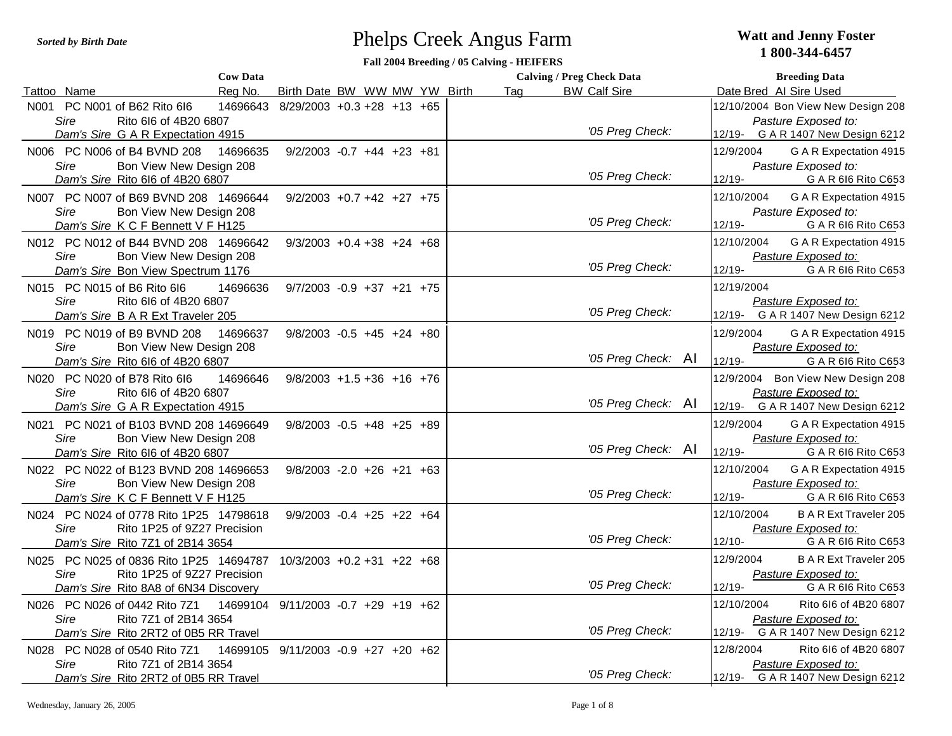## Phelps Creek Angus Farm *Sorted by Birth Date* **Watt and Jenny Foster**

## **1 800-344-6457**

## **Fall 2004 Breeding / 05 Calving - HEIFERS**

| <b>Cow Data</b>                                                                  |                                     |  |     | <b>Calving / Preg Check Data</b> | <b>Breeding Data</b>                                        |
|----------------------------------------------------------------------------------|-------------------------------------|--|-----|----------------------------------|-------------------------------------------------------------|
| Tattoo Name<br>Rea No.                                                           | Birth Date BW WW MW YW Birth        |  | Tag | <b>BW Calf Sire</b>              | Date Bred Al Sire Used                                      |
| N001 PC N001 of B62 Rito 6l6<br>14696643                                         | $8/29/2003 +0.3 +28 +13 +65$        |  |     |                                  | 12/10/2004 Bon View New Design 208                          |
| Rito 6l6 of 4B20 6807<br>Sire                                                    |                                     |  |     |                                  | Pasture Exposed to:                                         |
| Dam's Sire G A R Expectation 4915                                                |                                     |  |     | '05 Preg Check:                  | 12/19- G A R 1407 New Design 6212                           |
| N006 PC N006 of B4 BVND 208<br>14696635                                          | $9/2/2003 -0.7 +44 +23 +81$         |  |     |                                  | 12/9/2004<br>G A R Expectation 4915                         |
| Sire<br>Bon View New Design 208                                                  |                                     |  |     | '05 Preg Check:                  | Pasture Exposed to:                                         |
| Dam's Sire Rito 616 of 4B20 6807                                                 |                                     |  |     |                                  | 12/19-<br>G A R 616 Rito C653                               |
| N007 PC N007 of B69 BVND 208 14696644                                            | $9/2/2003$ +0.7 +42 +27 +75         |  |     |                                  | 12/10/2004<br>G A R Expectation 4915                        |
| Sire<br>Bon View New Design 208                                                  |                                     |  |     | '05 Preg Check:                  | Pasture Exposed to:                                         |
| Dam's Sire K C F Bennett V F H125                                                |                                     |  |     |                                  | 12/19-<br>G A R 616 Rito C653                               |
| N012 PC N012 of B44 BVND 208 14696642                                            | $9/3/2003 + 0.4 + 38 + 24 + 68$     |  |     |                                  | 12/10/2004<br>G A R Expectation 4915                        |
| Sire<br>Bon View New Design 208                                                  |                                     |  |     | '05 Preg Check:                  | Pasture Exposed to:                                         |
| Dam's Sire Bon View Spectrum 1176                                                |                                     |  |     |                                  | 12/19-<br>G A R 616 Rito C653                               |
| N015 PC N015 of B6 Rito 6l6<br>14696636                                          | $9/7/2003 -0.9 +37 +21 +75$         |  |     |                                  | 12/19/2004                                                  |
| Rito 616 of 4B20 6807<br>Sire                                                    |                                     |  |     | '05 Preg Check:                  | Pasture Exposed to:<br>12/19-<br>G A R 1407 New Design 6212 |
| Dam's Sire B A R Ext Traveler 205                                                |                                     |  |     |                                  |                                                             |
| N019 PC N019 of B9 BVND 208<br>14696637                                          | $9/8/2003 -0.5 +45 +24 +80$         |  |     |                                  | 12/9/2004<br>G A R Expectation 4915                         |
| Sire<br>Bon View New Design 208                                                  |                                     |  |     | '05 Preg Check: Al               | Pasture Exposed to:<br>12/19-<br>G A R 616 Rito C653        |
| Dam's Sire Rito 616 of 4B20 6807                                                 |                                     |  |     |                                  |                                                             |
| N020 PC N020 of B78 Rito 6l6<br>14696646<br>Sire<br>Rito 6l6 of 4B20 6807        | $9/8/2003$ +1.5 +36 +16 +76         |  |     |                                  | 12/9/2004 Bon View New Design 208<br>Pasture Exposed to:    |
| Dam's Sire G A R Expectation 4915                                                |                                     |  |     | '05 Preg Check: Al               | 12/19-<br>G A R 1407 New Design 6212                        |
|                                                                                  |                                     |  |     |                                  |                                                             |
| N021 PC N021 of B103 BVND 208 14696649<br><b>Sire</b><br>Bon View New Design 208 | $9/8/2003 -0.5 +48 +25 +89$         |  |     |                                  | 12/9/2004<br>G A R Expectation 4915<br>Pasture Exposed to:  |
| Dam's Sire Rito 616 of 4B20 6807                                                 |                                     |  |     | '05 Preg Check: Al               | 12/19-<br>G A R 616 Rito C653                               |
| N022 PC N022 of B123 BVND 208 14696653                                           | $9/8/2003 - 2.0 + 26 + 21 + 63$     |  |     |                                  | 12/10/2004<br>G A R Expectation 4915                        |
| Sire<br>Bon View New Design 208                                                  |                                     |  |     |                                  | Pasture Exposed to:                                         |
| Dam's Sire K C F Bennett V F H125                                                |                                     |  |     | '05 Preg Check:                  | 12/19-<br>G A R 616 Rito C653                               |
| N024 PC N024 of 0778 Rito 1P25 14798618                                          | $9/9/2003 -0.4 +25 +22 +64$         |  |     |                                  | 12/10/2004<br><b>B A R Ext Traveler 205</b>                 |
| Sire<br>Rito 1P25 of 9Z27 Precision                                              |                                     |  |     |                                  | Pasture Exposed to:                                         |
| Dam's Sire Rito 7Z1 of 2B14 3654                                                 |                                     |  |     | '05 Preg Check:                  | $12/10 -$<br>G A R 616 Rito C653                            |
| N025 PC N025 of 0836 Rito 1P25 14694787                                          | $10/3/2003 + 0.2 + 31 + 22 + 68$    |  |     |                                  | 12/9/2004<br><b>B A R Ext Traveler 205</b>                  |
| Sire<br>Rito 1P25 of 9Z27 Precision                                              |                                     |  |     |                                  | Pasture Exposed to:                                         |
| Dam's Sire Rito 8A8 of 6N34 Discovery                                            |                                     |  |     | '05 Preg Check:                  | 12/19-<br>G A R 616 Rito C653                               |
| N026 PC N026 of 0442 Rito 7Z1                                                    | 14699104 9/11/2003 -0.7 +29 +19 +62 |  |     |                                  | 12/10/2004<br>Rito 616 of 4B20 6807                         |
| Sire<br>Rito 7Z1 of 2B14 3654                                                    |                                     |  |     |                                  | Pasture Exposed to:                                         |
| Dam's Sire Rito 2RT2 of 0B5 RR Travel                                            |                                     |  |     | '05 Preg Check:                  | 12/19-<br>G A R 1407 New Design 6212                        |
| N028 PC N028 of 0540 Rito 7Z1                                                    | 14699105 9/11/2003 -0.9 +27 +20 +62 |  |     |                                  | 12/8/2004<br>Rito 616 of 4B20 6807                          |
| Rito 7Z1 of 2B14 3654<br>Sire                                                    |                                     |  |     |                                  | Pasture Exposed to:                                         |
| Dam's Sire Rito 2RT2 of 0B5 RR Travel                                            |                                     |  |     | '05 Preg Check:                  | 12/19- G A R 1407 New Design 6212                           |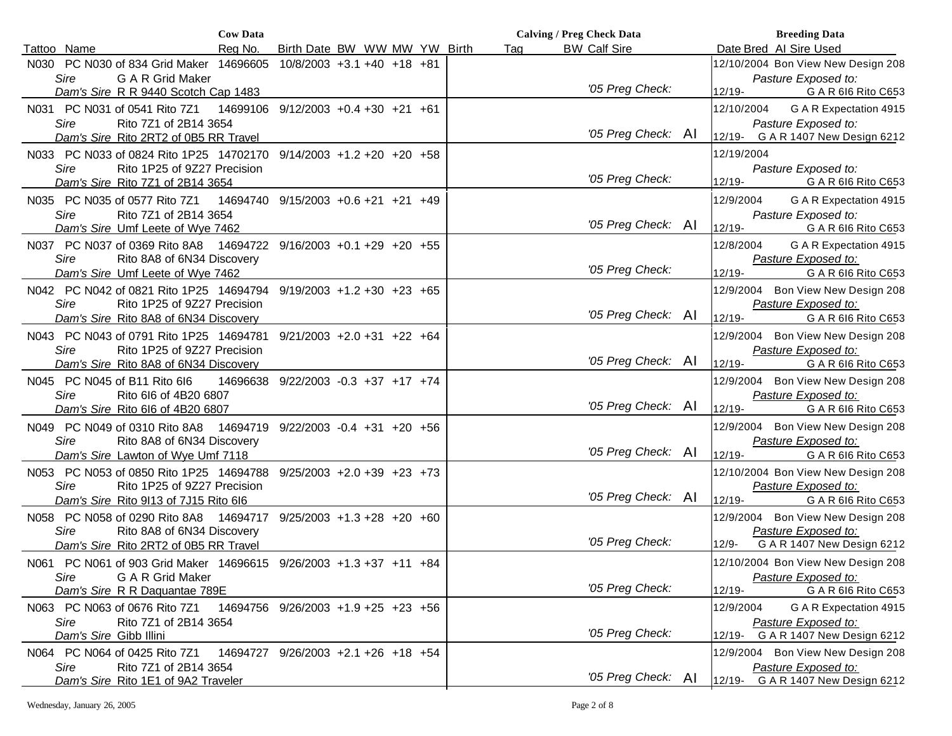| <b>Cow Data</b>                                                              |                                     |     | <b>Calving / Preg Check Data</b> | <b>Breeding Data</b>                                           |
|------------------------------------------------------------------------------|-------------------------------------|-----|----------------------------------|----------------------------------------------------------------|
| Reg No.<br>Tattoo Name                                                       | Birth Date BW WW MW YW Birth        | Tag | <b>BW Calf Sire</b>              | Date Bred Al Sire Used                                         |
| N030 PC N030 of 834 Grid Maker 14696605                                      | $10/8/2003 + 3.1 + 40 + 18 + 81$    |     |                                  | 12/10/2004 Bon View New Design 208                             |
| Sire<br>G A R Grid Maker                                                     |                                     |     | '05 Preg Check:                  | Pasture Exposed to:                                            |
| Dam's Sire R R 9440 Scotch Cap 1483                                          |                                     |     |                                  | $12/19 -$<br>G A R 616 Rito C653                               |
| N031 PC N031 of 0541 Rito 7Z1<br>14699106                                    | $9/12/2003 +0.4 +30 +21 +61$        |     |                                  | G A R Expectation 4915<br>12/10/2004                           |
| Sire<br>Rito 7Z1 of 2B14 3654<br>Dam's Sire Rito 2RT2 of 0B5 RR Travel       |                                     |     | '05 Preg Check: AI               | Pasture Exposed to:<br>G A R 1407 New Design 6212<br>$12/19 -$ |
| N033 PC N033 of 0824 Rito 1P25 14702170 9/14/2003 +1.2 +20 +20 +58           |                                     |     |                                  | 12/19/2004                                                     |
| Sire<br>Rito 1P25 of 9Z27 Precision                                          |                                     |     |                                  | Pasture Exposed to:                                            |
| Dam's Sire Rito 7Z1 of 2B14 3654                                             |                                     |     | '05 Preg Check:                  | $12/19 -$<br>G A R 616 Rito C653                               |
| N035 PC N035 of 0577 Rito 7Z1                                                | 14694740 9/15/2003 +0.6 +21 +21 +49 |     |                                  | 12/9/2004<br>G A R Expectation 4915                            |
| Sire<br>Rito 7Z1 of 2B14 3654                                                |                                     |     | '05 Preg Check: Al               | Pasture Exposed to:<br>$12/19 -$                               |
| Dam's Sire Umf Leete of Wye 7462                                             |                                     |     |                                  | G A R 616 Rito C653                                            |
| N037 PC N037 of 0369 Rito 8A8 14694722<br>Sire<br>Rito 8A8 of 6N34 Discovery | $9/16/2003 + 0.1 + 29 + 20 + 55$    |     |                                  | G A R Expectation 4915<br>12/8/2004<br>Pasture Exposed to:     |
| Dam's Sire Umf Leete of Wye 7462                                             |                                     |     | '05 Preg Check:                  | $12/19 -$<br>G A R 616 Rito C653                               |
| N042 PC N042 of 0821 Rito 1P25 14694794                                      | $9/19/2003 + 1.2 + 30 + 23 + 65$    |     |                                  | Bon View New Design 208<br>12/9/2004                           |
| Rito 1P25 of 9Z27 Precision<br>Sire                                          |                                     |     |                                  | Pasture Exposed to:                                            |
| Dam's Sire Rito 8A8 of 6N34 Discovery                                        |                                     |     | '05 Preg Check: Al               | $12/19 -$<br>G A R 616 Rito C653                               |
| N043 PC N043 of 0791 Rito 1P25 14694781 9/21/2003 +2.0 +31 +22 +64           |                                     |     |                                  | 12/9/2004 Bon View New Design 208                              |
| Rito 1P25 of 9Z27 Precision<br>Sire                                          |                                     |     |                                  | Pasture Exposed to:                                            |
| Dam's Sire Rito 8A8 of 6N34 Discovery                                        |                                     |     | '05 Preg Check: AI               | $12/19 -$<br>G A R 616 Rito C653                               |
| N045 PC N045 of B11 Rito 616                                                 | 14696638 9/22/2003 -0.3 +37 +17 +74 |     |                                  | 12/9/2004 Bon View New Design 208                              |
| Sire<br>Rito 6I6 of 4B20 6807                                                |                                     |     | '05 Preg Check: AI               | Pasture Exposed to:                                            |
| Dam's Sire Rito 616 of 4B20 6807                                             |                                     |     |                                  | $12/19 -$<br>G A R 616 Rito C653                               |
| N049 PC N049 of 0310 Rito 8A8 14694719 9/22/2003 -0.4 +31 +20 +56            |                                     |     |                                  | Bon View New Design 208<br>12/9/2004                           |
| Sire<br>Rito 8A8 of 6N34 Discovery<br>Dam's Sire Lawton of Wye Umf 7118      |                                     |     | '05 Preg Check: Al               | Pasture Exposed to:<br>$12/19 -$<br>G A R 616 Rito C653        |
| N053 PC N053 of 0850 Rito 1P25 14694788                                      | $9/25/2003$ +2.0 +39 +23 +73        |     |                                  | 12/10/2004 Bon View New Design 208                             |
| Sire<br>Rito 1P25 of 9Z27 Precision                                          |                                     |     |                                  | Pasture Exposed to:                                            |
| Dam's Sire Rito 9113 of 7J15 Rito 616                                        |                                     |     | '05 Preg Check: AI               | G A R 616 Rito C653<br>12/19-                                  |
| N058 PC N058 of 0290 Rito 8A8 14694717 9/25/2003 +1.3 +28 +20 +60            |                                     |     |                                  | 12/9/2004 Bon View New Design 208                              |
| Sire<br>Rito 8A8 of 6N34 Discovery                                           |                                     |     |                                  | Pasture Exposed to:                                            |
| Dam's Sire Rito 2RT2 of 0B5 RR Travel                                        |                                     |     | '05 Preg Check:                  | G A R 1407 New Design 6212<br>$12/9 -$                         |
| N061 PC N061 of 903 Grid Maker 14696615 9/26/2003 +1.3 +37 +11 +84           |                                     |     |                                  | 12/10/2004 Bon View New Design 208                             |
| G A R Grid Maker<br>Sire                                                     |                                     |     |                                  | Pasture Exposed to:                                            |
| Dam's Sire R R Daquantae 789E                                                |                                     |     | '05 Preg Check:                  | $12/19 -$<br>G A R 616 Rito C653                               |
| N063 PC N063 of 0676 Rito 7Z1                                                | 14694756 9/26/2003 +1.9 +25 +23 +56 |     |                                  | 12/9/2004<br>G A R Expectation 4915                            |
| Sire<br>Rito 7Z1 of 2B14 3654<br>Dam's Sire Gibb Illini                      |                                     |     | '05 Preg Check:                  | Pasture Exposed to:<br>G A R 1407 New Design 6212<br>12/19-    |
| N064 PC N064 of 0425 Rito 7Z1                                                | 14694727 9/26/2003 +2.1 +26 +18 +54 |     |                                  | 12/9/2004 Bon View New Design 208                              |
| Sire<br>Rito 7Z1 of 2B14 3654                                                |                                     |     |                                  | Pasture Exposed to:                                            |
| Dam's Sire Rito 1E1 of 9A2 Traveler                                          |                                     |     | '05 Preg Check: AI               | 12/19- G A R 1407 New Design 6212                              |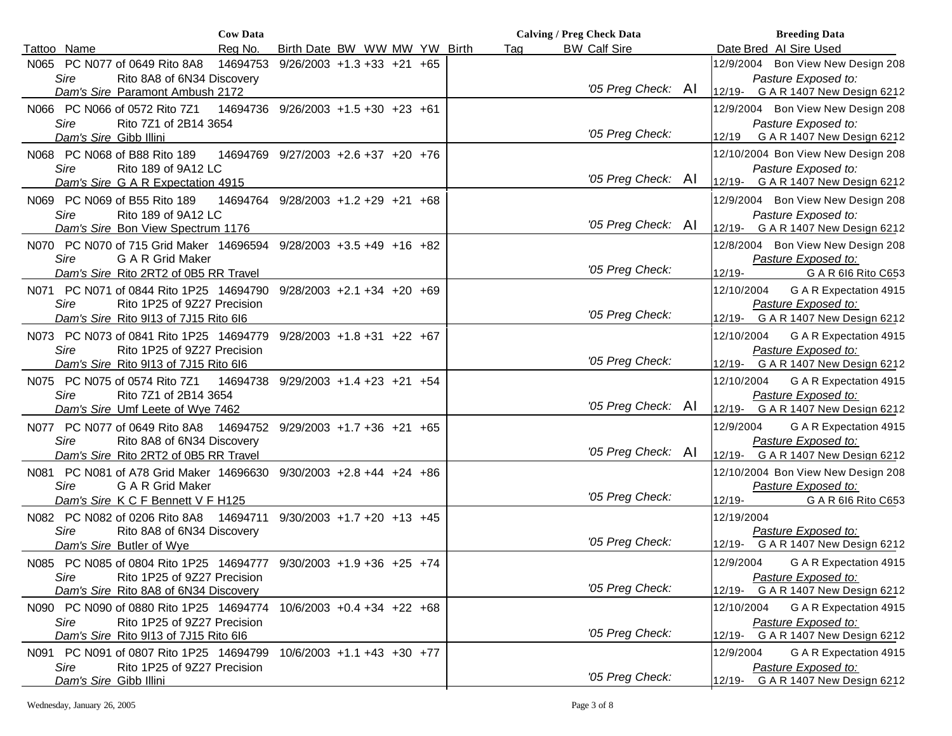| <b>Cow Data</b>                                                                                                  |                                     |     | <b>Calving / Preg Check Data</b> | <b>Breeding Data</b>                                        |
|------------------------------------------------------------------------------------------------------------------|-------------------------------------|-----|----------------------------------|-------------------------------------------------------------|
| Rea No.<br>Tattoo Name                                                                                           | Birth Date BW WW MW YW Birth        | Tag | <b>BW Calf Sire</b>              | Date Bred Al Sire Used                                      |
| PC N077 of 0649 Rito 8A8<br>14694753<br>N065                                                                     | $9/26/2003 +1.3 +33 +21 +65$        |     |                                  | 12/9/2004 Bon View New Design 208                           |
| <b>Sire</b><br>Rito 8A8 of 6N34 Discovery                                                                        |                                     |     |                                  | Pasture Exposed to:                                         |
| Dam's Sire Paramont Ambush 2172                                                                                  |                                     |     | '05 Preg Check: Al               | 12/19- G A R 1407 New Design 6212                           |
| N066 PC N066 of 0572 Rito 7Z1                                                                                    | 14694736 9/26/2003 +1.5 +30 +23 +61 |     |                                  | 12/9/2004 Bon View New Design 208                           |
| Sire<br>Rito 7Z1 of 2B14 3654<br>Dam's Sire Gibb Illini                                                          |                                     |     | '05 Preg Check:                  | Pasture Exposed to:<br>G A R 1407 New Design 6212<br>12/19  |
| N068 PC N068 of B88 Rito 189                                                                                     | 14694769 9/27/2003 +2.6 +37 +20 +76 |     |                                  | 12/10/2004 Bon View New Design 208                          |
| <b>Sire</b><br>Rito 189 of 9A12 LC<br>Dam's Sire G A R Expectation 4915                                          |                                     |     | '05 Preg Check: Al               | Pasture Exposed to:<br>12/19-<br>G A R 1407 New Design 6212 |
| N069 PC N069 of B55 Rito 189                                                                                     | 14694764 9/28/2003 +1.2 +29 +21 +68 |     |                                  | 12/9/2004 Bon View New Design 208                           |
| <b>Sire</b><br>Rito 189 of 9A12 LC                                                                               |                                     |     |                                  | Pasture Exposed to:                                         |
| Dam's Sire Bon View Spectrum 1176                                                                                |                                     |     | '05 Preg Check: Al               | 12/19- G A R 1407 New Design 6212                           |
| N070 PC N070 of 715 Grid Maker 14696594 9/28/2003 +3.5 +49 +16 +82                                               |                                     |     |                                  | 12/8/2004 Bon View New Design 208                           |
| Sire<br>G A R Grid Maker                                                                                         |                                     |     | '05 Preg Check:                  | Pasture Exposed to:                                         |
| Dam's Sire Rito 2RT2 of 0B5 RR Travel                                                                            |                                     |     |                                  | $12/19 -$<br>G A R 616 Rito C653                            |
| N071 PC N071 of 0844 Rito 1P25 14694790                                                                          | $9/28/2003$ +2.1 +34 +20 +69        |     |                                  | G A R Expectation 4915<br>12/10/2004                        |
| Rito 1P25 of 9Z27 Precision<br>Sire<br>Dam's Sire Rito 9113 of 7J15 Rito 616                                     |                                     |     | '05 Preg Check:                  | Pasture Exposed to:<br>G A R 1407 New Design 6212<br>12/19- |
|                                                                                                                  |                                     |     |                                  |                                                             |
| N073 PC N073 of 0841 Rito 1P25 14694779<br>Rito 1P25 of 9Z27 Precision<br><b>Sire</b>                            | $9/28/2003 + 1.8 + 31 + 22 + 67$    |     |                                  | 12/10/2004<br>G A R Expectation 4915<br>Pasture Exposed to: |
| Dam's Sire Rito 9113 of 7J15 Rito 616                                                                            |                                     |     | '05 Preg Check:                  | G A R 1407 New Design 6212<br>12/19-                        |
| N075 PC N075 of 0574 Rito 7Z1                                                                                    | 14694738 9/29/2003 +1.4 +23 +21 +54 |     |                                  | 12/10/2004<br>G A R Expectation 4915                        |
| <b>Sire</b><br>Rito 7Z1 of 2B14 3654                                                                             |                                     |     |                                  | Pasture Exposed to:                                         |
| Dam's Sire Umf Leete of Wye 7462                                                                                 |                                     |     | '05 Preg Check: Al               | 12/19- G A R 1407 New Design 6212                           |
| N077 PC N077 of 0649 Rito 8A8                                                                                    | 14694752 9/29/2003 +1.7 +36 +21 +65 |     |                                  | G A R Expectation 4915<br>12/9/2004                         |
| Sire<br>Rito 8A8 of 6N34 Discovery                                                                               |                                     |     |                                  | Pasture Exposed to:                                         |
| Dam's Sire Rito 2RT2 of 0B5 RR Travel                                                                            |                                     |     | '05 Preg Check: Al               | 12/19-<br>G A R 1407 New Design 6212                        |
| N081 PC N081 of A78 Grid Maker 14696630 9/30/2003 +2.8 +44 +24 +86                                               |                                     |     |                                  | 12/10/2004 Bon View New Design 208                          |
| G A R Grid Maker<br>Sire                                                                                         |                                     |     |                                  | Pasture Exposed to:                                         |
| Dam's Sire K C F Bennett V F H125                                                                                |                                     |     | '05 Preg Check:                  | G A R 616 Rito C653<br>12/19-                               |
| N082 PC N082 of 0206 Rito 8A8                                                                                    | 14694711 9/30/2003 +1.7 +20 +13 +45 |     |                                  | 12/19/2004                                                  |
| <b>Sire</b><br>Rito 8A8 of 6N34 Discovery                                                                        |                                     |     | '05 Preg Check:                  | Pasture Exposed to:<br>G A R 1407 New Design 6212<br>12/19- |
| Dam's Sire Butler of Wye                                                                                         |                                     |     |                                  |                                                             |
| N085 PC N085 of 0804 Rito 1P25 14694777 9/30/2003 +1.9 +36 +25 +74<br><b>Sire</b><br>Rito 1P25 of 9Z27 Precision |                                     |     |                                  | 12/9/2004<br>G A R Expectation 4915<br>Pasture Exposed to:  |
| Dam's Sire Rito 8A8 of 6N34 Discovery                                                                            |                                     |     | '05 Preg Check:                  | G A R 1407 New Design 6212<br>12/19-                        |
| N090 PC N090 of 0880 Rito 1P25 14694774                                                                          | $10/6/2003 + 0.4 + 34 + 22 + 68$    |     |                                  | G A R Expectation 4915<br>12/10/2004                        |
| <b>Sire</b><br>Rito 1P25 of 9Z27 Precision                                                                       |                                     |     |                                  | Pasture Exposed to:                                         |
| Dam's Sire Rito 9113 of 7J15 Rito 616                                                                            |                                     |     | '05 Preg Check:                  | G A R 1407 New Design 6212<br>$12/19 -$                     |
| N091 PC N091 of 0807 Rito 1P25 14694799                                                                          | $10/6/2003$ +1.1 +43 +30 +77        |     |                                  | 12/9/2004<br>G A R Expectation 4915                         |
| Sire<br>Rito 1P25 of 9Z27 Precision                                                                              |                                     |     |                                  | Pasture Exposed to:                                         |
| Dam's Sire Gibb Illini                                                                                           |                                     |     | '05 Preg Check:                  | G A R 1407 New Design 6212<br>12/19-                        |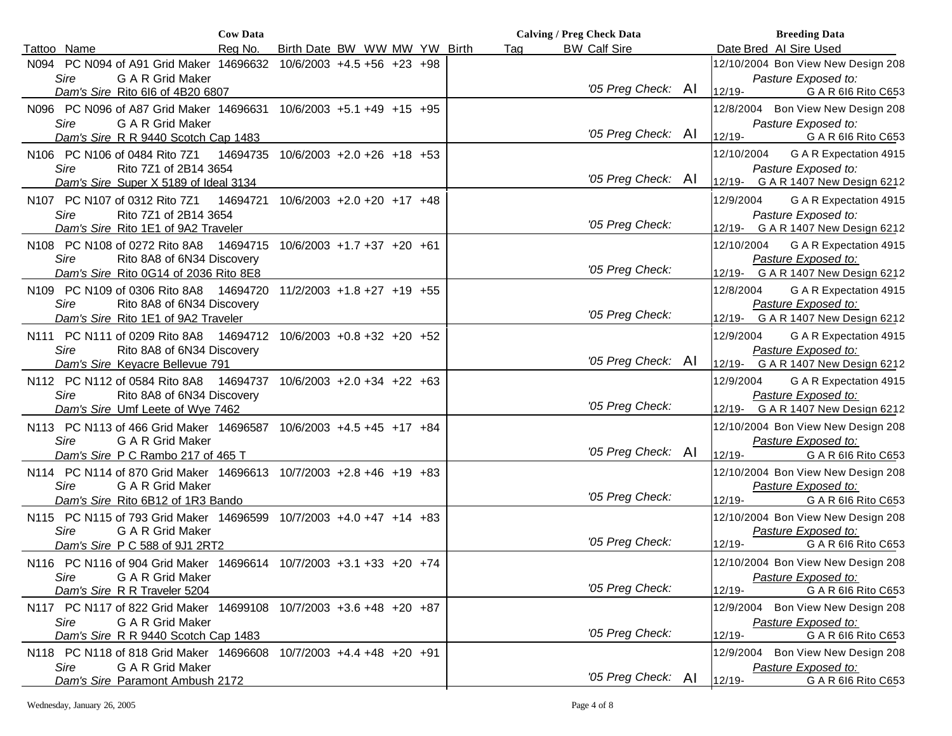|                                                                        | <b>Cow Data</b> |                                  |  | <b>Calving / Preg Check Data</b> |  |                     | <b>Breeding Data</b> |                                                |  |
|------------------------------------------------------------------------|-----------------|----------------------------------|--|----------------------------------|--|---------------------|----------------------|------------------------------------------------|--|
| Tattoo Name                                                            | Reg No.         | Birth Date BW WW MW YW Birth     |  | Tag                              |  | <b>BW Calf Sire</b> |                      | Date Bred Al Sire Used                         |  |
| N094 PC N094 of A91 Grid Maker 14696632 10/6/2003 +4.5 +56 +23 +98     |                 |                                  |  |                                  |  |                     |                      | 12/10/2004 Bon View New Design 208             |  |
| Sire<br>G A R Grid Maker                                               |                 |                                  |  |                                  |  |                     |                      | Pasture Exposed to:                            |  |
| Dam's Sire Rito 616 of 4B20 6807                                       |                 |                                  |  |                                  |  | '05 Preg Check: AI  | 12/19-               | G A R 616 Rito C653                            |  |
| N096 PC N096 of A87 Grid Maker 14696631 10/6/2003 +5.1 +49 +15 +95     |                 |                                  |  |                                  |  |                     |                      | 12/8/2004 Bon View New Design 208              |  |
| Sire<br><b>G A R Grid Maker</b>                                        |                 |                                  |  |                                  |  |                     |                      | Pasture Exposed to:                            |  |
| Dam's Sire R R 9440 Scotch Cap 1483                                    |                 |                                  |  |                                  |  | '05 Preg Check: AI  | $12/19 -$            | G A R 616 Rito C653                            |  |
| N106 PC N106 of 0484 Rito 7Z1                                          | 14694735        | $10/6/2003$ +2.0 +26 +18 +53     |  |                                  |  |                     | 12/10/2004           | G A R Expectation 4915                         |  |
| Sire<br>Rito 7Z1 of 2B14 3654                                          |                 |                                  |  |                                  |  |                     |                      | Pasture Exposed to:                            |  |
| Dam's Sire Super X 5189 of Ideal 3134                                  |                 |                                  |  |                                  |  | '05 Preg Check: Al  |                      | 12/19- G A R 1407 New Design 6212              |  |
| N107 PC N107 of 0312 Rito 7Z1                                          | 14694721        | 10/6/2003 +2.0 +20 +17 +48       |  |                                  |  |                     | 12/9/2004            | G A R Expectation 4915                         |  |
| Sire<br>Rito 7Z1 of 2B14 3654                                          |                 |                                  |  |                                  |  |                     |                      | Pasture Exposed to:                            |  |
| Dam's Sire Rito 1E1 of 9A2 Traveler                                    |                 |                                  |  |                                  |  | '05 Preg Check:     |                      | 12/19- G A R 1407 New Design 6212              |  |
| N108 PC N108 of 0272 Rito 8A8 14694715                                 |                 | $10/6/2003 + 1.7 + 37 + 20 + 61$ |  |                                  |  |                     | 12/10/2004           | G A R Expectation 4915                         |  |
| Sire<br>Rito 8A8 of 6N34 Discovery                                     |                 |                                  |  |                                  |  |                     |                      | Pasture Exposed to:                            |  |
| Dam's Sire Rito 0G14 of 2036 Rito 8E8                                  |                 |                                  |  |                                  |  | '05 Preg Check:     |                      | 12/19- G A R 1407 New Design 6212              |  |
| N109 PC N109 of 0306 Rito 8A8 14694720                                 |                 | $11/2/2003 + 1.8 + 27 + 19 + 55$ |  |                                  |  |                     | 12/8/2004            | G A R Expectation 4915                         |  |
| Rito 8A8 of 6N34 Discovery<br>Sire                                     |                 |                                  |  |                                  |  |                     |                      | Pasture Exposed to:                            |  |
| Dam's Sire Rito 1E1 of 9A2 Traveler                                    |                 |                                  |  |                                  |  | '05 Preg Check:     | 12/19-               | G A R 1407 New Design 6212                     |  |
| N111 PC N111 of 0209 Rito 8A8  14694712  10/6/2003  +0.8 +32  +20  +52 |                 |                                  |  |                                  |  |                     | 12/9/2004            | G A R Expectation 4915                         |  |
| Sire<br>Rito 8A8 of 6N34 Discovery                                     |                 |                                  |  |                                  |  |                     |                      | Pasture Exposed to:                            |  |
| Dam's Sire Keyacre Bellevue 791                                        |                 |                                  |  |                                  |  | '05 Preg Check: AI  |                      | 12/19- G A R 1407 New Design 6212              |  |
| N112 PC N112 of 0584 Rito 8A8 14694737 10/6/2003 +2.0 +34 +22 +63      |                 |                                  |  |                                  |  |                     | 12/9/2004            | G A R Expectation 4915                         |  |
| Sire<br>Rito 8A8 of 6N34 Discovery                                     |                 |                                  |  |                                  |  |                     |                      | Pasture Exposed to:                            |  |
| Dam's Sire Umf Leete of Wye 7462                                       |                 |                                  |  |                                  |  | '05 Preg Check:     |                      | 12/19- G A R 1407 New Design 6212              |  |
| N113 PC N113 of 466 Grid Maker 14696587 10/6/2003 +4.5 +45 +17 +84     |                 |                                  |  |                                  |  |                     |                      | 12/10/2004 Bon View New Design 208             |  |
| G A R Grid Maker<br>Sire                                               |                 |                                  |  |                                  |  |                     |                      | Pasture Exposed to:                            |  |
| Dam's Sire P C Rambo 217 of 465 T                                      |                 |                                  |  |                                  |  | '05 Preg Check: Al  | $12/19 -$            | G A R 616 Rito C653                            |  |
| N114 PC N114 of 870 Grid Maker 14696613 10/7/2003 +2.8 +46 +19 +83     |                 |                                  |  |                                  |  |                     |                      | 12/10/2004 Bon View New Design 208             |  |
| G A R Grid Maker<br>Sire                                               |                 |                                  |  |                                  |  | '05 Preg Check:     |                      | Pasture Exposed to:                            |  |
| Dam's Sire Rito 6B12 of 1R3 Bando                                      |                 |                                  |  |                                  |  |                     | 12/19-               | G A R 616 Rito C653                            |  |
| N115 PC N115 of 793 Grid Maker 14696599 10/7/2003 +4.0 +47 +14 +83     |                 |                                  |  |                                  |  |                     |                      | 12/10/2004 Bon View New Design 208             |  |
| Sire<br><b>G A R Grid Maker</b>                                        |                 |                                  |  |                                  |  | '05 Preg Check:     | 12/19-               | Pasture Exposed to:<br>G A R 616 Rito C653     |  |
| Dam's Sire P C 588 of 9J1 2RT2                                         |                 |                                  |  |                                  |  |                     |                      |                                                |  |
| N116 PC N116 of 904 Grid Maker 14696614 10/7/2003 +3.1 +33 +20 +74     |                 |                                  |  |                                  |  |                     |                      | 12/10/2004 Bon View New Design 208             |  |
| G A R Grid Maker<br>Sire                                               |                 |                                  |  |                                  |  | '05 Preg Check:     | 12/19-               | Pasture Exposed to:<br>G A R 616 Rito C653     |  |
| Dam's Sire R R Traveler 5204                                           |                 |                                  |  |                                  |  |                     |                      |                                                |  |
| N117 PC N117 of 822 Grid Maker 14699108 10/7/2003 +3.6 +48 +20 +87     |                 |                                  |  |                                  |  |                     | 12/9/2004            | Bon View New Design 208                        |  |
| Sire<br>G A R Grid Maker<br>Dam's Sire R R 9440 Scotch Cap 1483        |                 |                                  |  |                                  |  | '05 Preg Check:     | $12/19 -$            | Pasture Exposed to:<br>G A R 616 Rito C653     |  |
|                                                                        |                 |                                  |  |                                  |  |                     |                      |                                                |  |
| N118 PC N118 of 818 Grid Maker 14696608<br>Sire<br>G A R Grid Maker    |                 | 10/7/2003 +4.4 +48 +20 +91       |  |                                  |  |                     | 12/9/2004            | Bon View New Design 208<br>Pasture Exposed to: |  |
| Dam's Sire Paramont Ambush 2172                                        |                 |                                  |  |                                  |  | '05 Preg Check: AI  | 12/19-               | G A R 616 Rito C653                            |  |
|                                                                        |                 |                                  |  |                                  |  |                     |                      |                                                |  |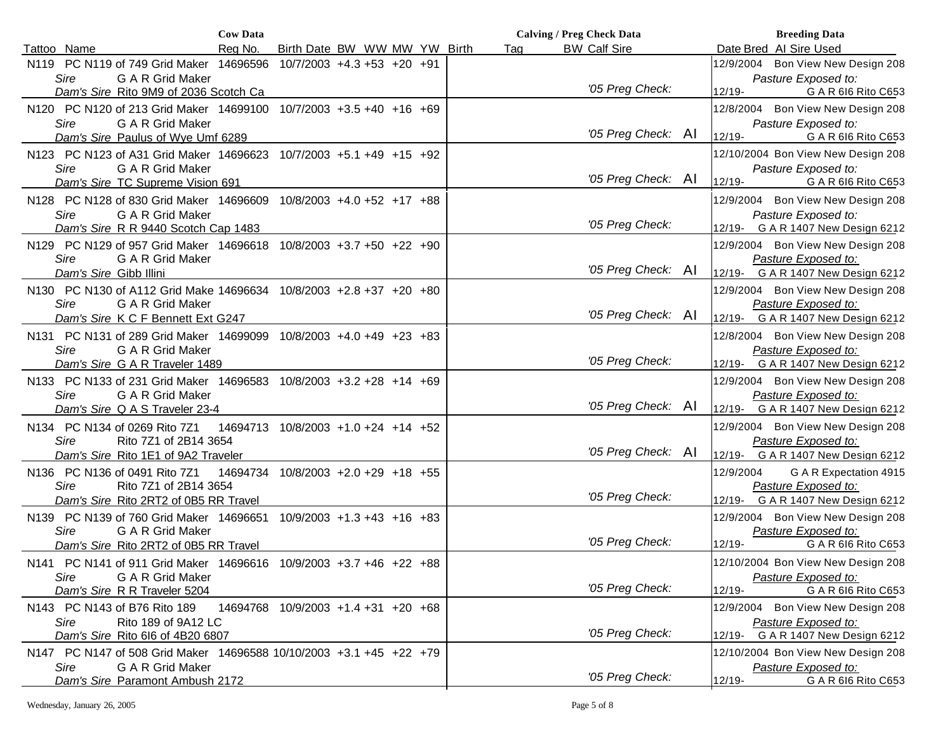|                                                                                                | <b>Cow Data</b> |                                     |  |     | <b>Calving / Preg Check Data</b> | <b>Breeding Data</b>                                        |
|------------------------------------------------------------------------------------------------|-----------------|-------------------------------------|--|-----|----------------------------------|-------------------------------------------------------------|
| Tattoo Name                                                                                    | Rea No.         | Birth Date BW WW MW YW Birth        |  | Tag | <b>BW Calf Sire</b>              | Date Bred Al Sire Used                                      |
| N119 PC N119 of 749 Grid Maker 14696596                                                        |                 | $10/7/2003$ +4.3 +53 +20 +91        |  |     |                                  | 12/9/2004 Bon View New Design 208                           |
| <b>Sire</b><br>G A R Grid Maker                                                                |                 |                                     |  |     | '05 Preg Check:                  | Pasture Exposed to:                                         |
| Dam's Sire Rito 9M9 of 2036 Scotch Ca                                                          |                 |                                     |  |     |                                  | 12/19-<br>G A R 616 Rito C653                               |
| N120 PC N120 of 213 Grid Maker 14699100 10/7/2003 +3.5 +40 +16 +69                             |                 |                                     |  |     |                                  | 12/8/2004 Bon View New Design 208                           |
| Sire<br>G A R Grid Maker<br>Dam's Sire Paulus of Wye Umf 6289                                  |                 |                                     |  |     | '05 Preg Check: AI               | Pasture Exposed to:<br>$12/19 -$<br>G A R 616 Rito C653     |
| N123 PC N123 of A31 Grid Maker 14696623 10/7/2003 +5.1 +49 +15 +92                             |                 |                                     |  |     |                                  | 12/10/2004 Bon View New Design 208                          |
| Sire<br>G A R Grid Maker<br>Dam's Sire TC Supreme Vision 691                                   |                 |                                     |  |     | '05 Preg Check: AI               | Pasture Exposed to:<br>12/19-<br>G A R 616 Rito C653        |
| N128 PC N128 of 830 Grid Maker 14696609 10/8/2003 +4.0 +52 +17 +88                             |                 |                                     |  |     |                                  | 12/9/2004 Bon View New Design 208                           |
| <b>Sire</b><br>G A R Grid Maker                                                                |                 |                                     |  |     |                                  | Pasture Exposed to:                                         |
| Dam's Sire R R 9440 Scotch Cap 1483                                                            |                 |                                     |  |     | '05 Preg Check:                  | 12/19- G A R 1407 New Design 6212                           |
| N129 PC N129 of 957 Grid Maker 14696618 10/8/2003 +3.7 +50 +22 +90                             |                 |                                     |  |     |                                  | 12/9/2004 Bon View New Design 208                           |
| G A R Grid Maker<br>Sire                                                                       |                 |                                     |  |     | '05 Preg Check: AI               | Pasture Exposed to:                                         |
| Dam's Sire Gibb Illini                                                                         |                 |                                     |  |     |                                  | G A R 1407 New Design 6212<br>$12/19 -$                     |
| N130 PC N130 of A112 Grid Make 14696634 10/8/2003 +2.8 +37 +20 +80<br>Sire<br>G A R Grid Maker |                 |                                     |  |     |                                  | 12/9/2004 Bon View New Design 208<br>Pasture Exposed to:    |
| Dam's Sire K C F Bennett Ext G247                                                              |                 |                                     |  |     | '05 Preg Check: Al               | G A R 1407 New Design 6212<br>$12/19 -$                     |
| N131 PC N131 of 289 Grid Maker 14699099 10/8/2003 +4.0 +49 +23 +83                             |                 |                                     |  |     |                                  | 12/8/2004 Bon View New Design 208                           |
| Sire<br>G A R Grid Maker                                                                       |                 |                                     |  |     |                                  | Pasture Exposed to:                                         |
| Dam's Sire G A R Traveler 1489                                                                 |                 |                                     |  |     | '05 Preg Check:                  | G A R 1407 New Design 6212<br>12/19-                        |
| N133 PC N133 of 231 Grid Maker 14696583 10/8/2003 +3.2 +28 +14 +69                             |                 |                                     |  |     |                                  | 12/9/2004 Bon View New Design 208                           |
| <b>Sire</b><br>G A R Grid Maker                                                                |                 |                                     |  |     |                                  | Pasture Exposed to:                                         |
| Dam's Sire Q A S Traveler 23-4                                                                 |                 |                                     |  |     | '05 Preg Check: Al               | $12/19 -$<br>G A R 1407 New Design 6212                     |
| N134 PC N134 of 0269 Rito 7Z1                                                                  |                 | 14694713 10/8/2003 +1.0 +24 +14 +52 |  |     |                                  | 12/9/2004 Bon View New Design 208                           |
| Sire<br>Rito 7Z1 of 2B14 3654                                                                  |                 |                                     |  |     |                                  | Pasture Exposed to:                                         |
| Dam's Sire Rito 1E1 of 9A2 Traveler                                                            |                 |                                     |  |     | '05 Preg Check: Al               | G A R 1407 New Design 6212<br>$12/19 -$                     |
| N136 PC N136 of 0491 Rito 7Z1                                                                  |                 | 14694734 10/8/2003 +2.0 +29 +18 +55 |  |     |                                  | 12/9/2004<br>G A R Expectation 4915                         |
| <b>Sire</b><br>Rito 7Z1 of 2B14 3654                                                           |                 |                                     |  |     | '05 Preg Check:                  | Pasture Exposed to:<br>G A R 1407 New Design 6212<br>12/19- |
| Dam's Sire Rito 2RT2 of 0B5 RR Travel                                                          |                 |                                     |  |     |                                  |                                                             |
| N139 PC N139 of 760 Grid Maker 14696651 10/9/2003 +1.3 +43 +16 +83<br>Sire<br>G A R Grid Maker |                 |                                     |  |     |                                  | 12/9/2004 Bon View New Design 208<br>Pasture Exposed to:    |
| Dam's Sire Rito 2RT2 of 0B5 RR Travel                                                          |                 |                                     |  |     | '05 Preg Check:                  | G A R 616 Rito C653<br>12/19-                               |
| N141 PC N141 of 911 Grid Maker 14696616 10/9/2003 +3.7 +46 +22 +88                             |                 |                                     |  |     |                                  | 12/10/2004 Bon View New Design 208                          |
| <b>G A R Grid Maker</b><br>Sire                                                                |                 |                                     |  |     |                                  | Pasture Exposed to:                                         |
| Dam's Sire R R Traveler 5204                                                                   |                 |                                     |  |     | '05 Preg Check:                  | $12/19 -$<br>G A R 616 Rito C653                            |
| N143 PC N143 of B76 Rito 189                                                                   |                 | 14694768 10/9/2003 +1.4 +31 +20 +68 |  |     |                                  | 12/9/2004 Bon View New Design 208                           |
| Rito 189 of 9A12 LC<br>Sire                                                                    |                 |                                     |  |     |                                  | Pasture Exposed to:                                         |
| Dam's Sire Rito 616 of 4B20 6807                                                               |                 |                                     |  |     | '05 Preg Check:                  | G A R 1407 New Design 6212<br>12/19-                        |
| N147 PC N147 of 508 Grid Maker 14696588 10/10/2003 +3.1 +45 +22 +79                            |                 |                                     |  |     |                                  | 12/10/2004 Bon View New Design 208                          |
| Sire<br>G A R Grid Maker                                                                       |                 |                                     |  |     | '05 Preg Check:                  | Pasture Exposed to:                                         |
| Dam's Sire Paramont Ambush 2172                                                                |                 |                                     |  |     |                                  | G A R 616 Rito C653<br>$12/19 -$                            |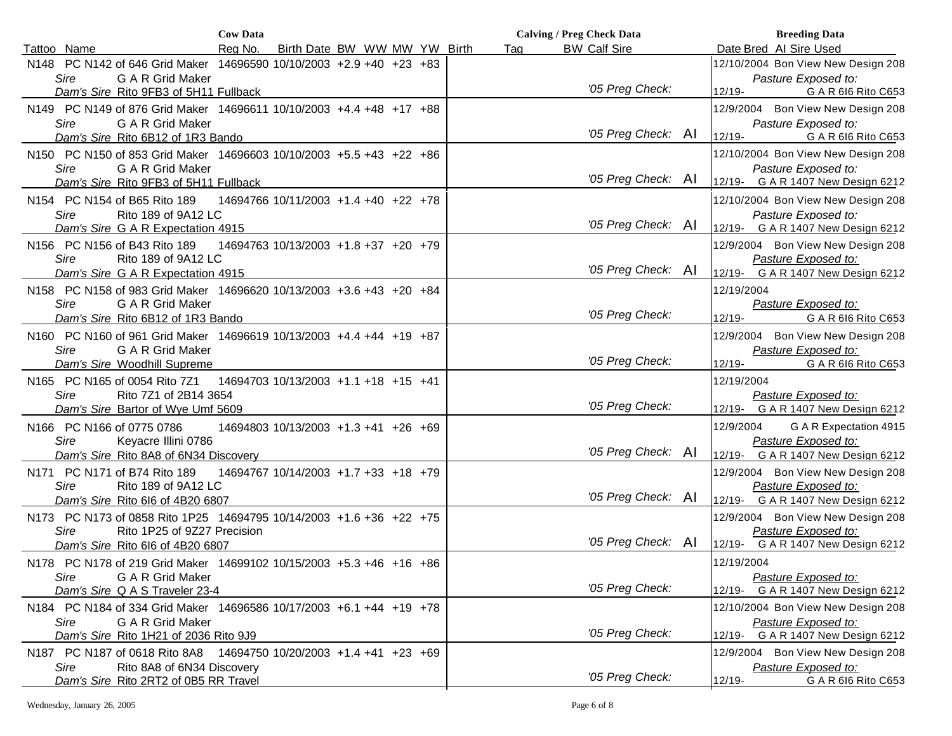|                                                                     | <b>Cow Data</b> |                                      |                              |  |     | <b>Calving / Preg Check Data</b> |            | <b>Breeding Data</b>               |
|---------------------------------------------------------------------|-----------------|--------------------------------------|------------------------------|--|-----|----------------------------------|------------|------------------------------------|
| Tattoo Name                                                         | Reg No.         |                                      | Birth Date BW WW MW YW Birth |  | Tag | <b>BW Calf Sire</b>              |            | Date Bred Al Sire Used             |
| N148 PC N142 of 646 Grid Maker 14696590 10/10/2003 +2.9 +40 +23 +83 |                 |                                      |                              |  |     |                                  |            | 12/10/2004 Bon View New Design 208 |
| Sire<br>G A R Grid Maker                                            |                 |                                      |                              |  |     |                                  |            | Pasture Exposed to:                |
| Dam's Sire Rito 9FB3 of 5H11 Fullback                               |                 |                                      |                              |  |     | '05 Preg Check:                  | $12/19 -$  | G A R 616 Rito C653                |
| N149 PC N149 of 876 Grid Maker 14696611 10/10/2003 +4.4 +48 +17 +88 |                 |                                      |                              |  |     |                                  | 12/9/2004  | Bon View New Design 208            |
| Sire<br>G A R Grid Maker                                            |                 |                                      |                              |  |     |                                  |            | Pasture Exposed to:                |
| Dam's Sire Rito 6B12 of 1R3 Bando                                   |                 |                                      |                              |  |     | '05 Preg Check: AI               | $12/19 -$  | G A R 616 Rito C653                |
| N150 PC N150 of 853 Grid Maker 14696603 10/10/2003 +5.5 +43 +22 +86 |                 |                                      |                              |  |     |                                  |            | 12/10/2004 Bon View New Design 208 |
| <b>Sire</b><br>G A R Grid Maker                                     |                 |                                      |                              |  |     |                                  |            | Pasture Exposed to:                |
| Dam's Sire Rito 9FB3 of 5H11 Fullback                               |                 |                                      |                              |  |     | '05 Preg Check: Al               |            | 12/19- G A R 1407 New Design 6212  |
| N154 PC N154 of B65 Rito 189                                        |                 | 14694766 10/11/2003 +1.4 +40 +22 +78 |                              |  |     |                                  |            | 12/10/2004 Bon View New Design 208 |
| Sire<br>Rito 189 of 9A12 LC                                         |                 |                                      |                              |  |     |                                  |            | Pasture Exposed to:                |
| Dam's Sire G A R Expectation 4915                                   |                 |                                      |                              |  |     | '05 Preg Check: Al               |            | 12/19- G A R 1407 New Design 6212  |
| N156 PC N156 of B43 Rito 189                                        |                 | 14694763 10/13/2003 +1.8 +37 +20 +79 |                              |  |     |                                  |            | 12/9/2004 Bon View New Design 208  |
| Sire<br>Rito 189 of 9A12 LC                                         |                 |                                      |                              |  |     |                                  |            | Pasture Exposed to:                |
| Dam's Sire G A R Expectation 4915                                   |                 |                                      |                              |  |     | '05 Preg Check: Al               |            | 12/19- G A R 1407 New Design 6212  |
| N158 PC N158 of 983 Grid Maker 14696620 10/13/2003 +3.6 +43 +20 +84 |                 |                                      |                              |  |     |                                  | 12/19/2004 |                                    |
| G A R Grid Maker<br>Sire                                            |                 |                                      |                              |  |     |                                  |            | Pasture Exposed to:                |
| Dam's Sire Rito 6B12 of 1R3 Bando                                   |                 |                                      |                              |  |     | '05 Preg Check:                  | $12/19 -$  | G A R 616 Rito C653                |
| N160 PC N160 of 961 Grid Maker 14696619 10/13/2003 +4.4 +44 +19 +87 |                 |                                      |                              |  |     |                                  | 12/9/2004  | Bon View New Design 208            |
| Sire<br><b>G A R Grid Maker</b>                                     |                 |                                      |                              |  |     |                                  |            | Pasture Exposed to:                |
| Dam's Sire Woodhill Supreme                                         |                 |                                      |                              |  |     | '05 Preg Check:                  | $12/19 -$  | G A R 616 Rito C653                |
| N165 PC N165 of 0054 Rito 7Z1                                       |                 | 14694703 10/13/2003 +1.1 +18 +15 +41 |                              |  |     |                                  | 12/19/2004 |                                    |
| <b>Sire</b><br>Rito 7Z1 of 2B14 3654                                |                 |                                      |                              |  |     |                                  |            | Pasture Exposed to:                |
| Dam's Sire Bartor of Wye Umf 5609                                   |                 |                                      |                              |  |     | '05 Preg Check:                  |            | 12/19- G A R 1407 New Design 6212  |
| N166 PC N166 of 0775 0786                                           |                 | 14694803 10/13/2003 +1.3 +41 +26 +69 |                              |  |     |                                  | 12/9/2004  | G A R Expectation 4915             |
| Sire<br>Keyacre Illini 0786                                         |                 |                                      |                              |  |     |                                  |            | Pasture Exposed to:                |
| Dam's Sire Rito 8A8 of 6N34 Discovery                               |                 |                                      |                              |  |     | '05 Preg Check: Al               | $12/19 -$  | G A R 1407 New Design 6212         |
| N171 PC N171 of B74 Rito 189                                        |                 | 14694767 10/14/2003 +1.7 +33 +18 +79 |                              |  |     |                                  |            | 12/9/2004 Bon View New Design 208  |
| Sire<br>Rito 189 of 9A12 LC                                         |                 |                                      |                              |  |     |                                  |            | Pasture Exposed to:                |
| Dam's Sire Rito 616 of 4B20 6807                                    |                 |                                      |                              |  |     | '05 Preg Check: AI               |            | 12/19- G A R 1407 New Design 6212  |
| N173 PC N173 of 0858 Rito 1P25 14694795 10/14/2003 +1.6 +36 +22 +75 |                 |                                      |                              |  |     |                                  |            | 12/9/2004 Bon View New Design 208  |
| Sire<br>Rito 1P25 of 9Z27 Precision                                 |                 |                                      |                              |  |     |                                  |            | Pasture Exposed to:                |
| Dam's Sire Rito 616 of 4B20 6807                                    |                 |                                      |                              |  |     | '05 Preg Check: Al               |            | 12/19- G A R 1407 New Design 6212  |
| N178 PC N178 of 219 Grid Maker 14699102 10/15/2003 +5.3 +46 +16 +86 |                 |                                      |                              |  |     |                                  | 12/19/2004 |                                    |
| <b>Sire</b><br><b>G A R Grid Maker</b>                              |                 |                                      |                              |  |     |                                  |            | Pasture Exposed to:                |
| Dam's Sire Q A S Traveler 23-4                                      |                 |                                      |                              |  |     | '05 Preg Check:                  | 12/19-     | G A R 1407 New Design 6212         |
| N184 PC N184 of 334 Grid Maker 14696586 10/17/2003 +6.1 +44 +19 +78 |                 |                                      |                              |  |     |                                  |            | 12/10/2004 Bon View New Design 208 |
| Sire<br>G A R Grid Maker                                            |                 |                                      |                              |  |     |                                  |            | Pasture Exposed to:                |
| Dam's Sire Rito 1H21 of 2036 Rito 9J9                               |                 |                                      |                              |  |     | '05 Preg Check:                  | 12/19-     | G A R 1407 New Design 6212         |
| N187 PC N187 of 0618 Rito 8A8 14694750 10/20/2003 +1.4 +41 +23 +69  |                 |                                      |                              |  |     |                                  | 12/9/2004  | Bon View New Design 208            |
| Sire<br>Rito 8A8 of 6N34 Discovery                                  |                 |                                      |                              |  |     |                                  |            | Pasture Exposed to:                |
| Dam's Sire Rito 2RT2 of 0B5 RR Travel                               |                 |                                      |                              |  |     | '05 Preg Check:                  | $12/19 -$  | G A R 616 Rito C653                |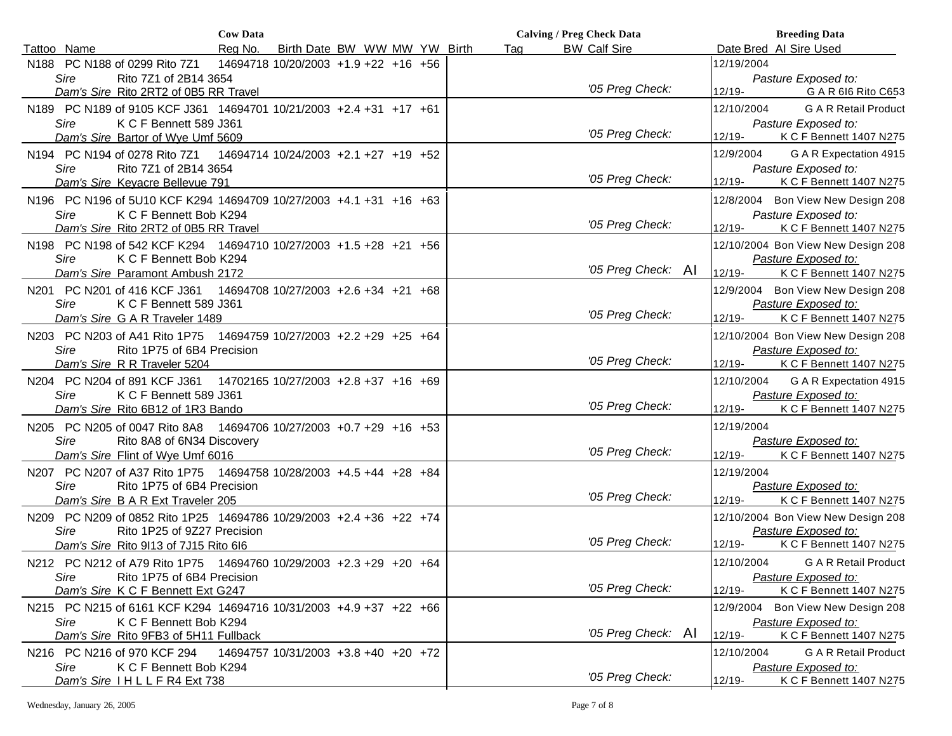|                                                                        | <b>Cow Data</b> |                                      |  |     | <b>Calving / Preg Check Data</b> | <b>Breeding Data</b>                           |
|------------------------------------------------------------------------|-----------------|--------------------------------------|--|-----|----------------------------------|------------------------------------------------|
| Tattoo Name                                                            | Rea No.         | Birth Date BW WW MW YW Birth         |  | Tag | <b>BW Calf Sire</b>              | Date Bred Al Sire Used                         |
| N188 PC N188 of 0299 Rito 7Z1                                          |                 | 14694718 10/20/2003 +1.9 +22 +16 +56 |  |     |                                  | 12/19/2004                                     |
| Sire<br>Rito 7Z1 of 2B14 3654                                          |                 |                                      |  |     |                                  | Pasture Exposed to:                            |
| Dam's Sire Rito 2RT2 of 0B5 RR Travel                                  |                 |                                      |  |     | '05 Preg Check:                  | $12/19 -$<br>G A R 616 Rito C653               |
| N189 PC N189 of 9105 KCF J361 14694701 10/21/2003 +2.4 +31 +17 +61     |                 |                                      |  |     |                                  | <b>G A R Retail Product</b><br>12/10/2004      |
| Sire<br>K C F Bennett 589 J361                                         |                 |                                      |  |     |                                  | Pasture Exposed to:                            |
| Dam's Sire Bartor of Wye Umf 5609                                      |                 |                                      |  |     | '05 Preg Check:                  | $12/19 -$<br>K C F Bennett 1407 N275           |
| N194 PC N194 of 0278 Rito 7Z1                                          |                 | 14694714 10/24/2003 +2.1 +27 +19 +52 |  |     |                                  | G A R Expectation 4915<br>12/9/2004            |
| Sire<br>Rito 7Z1 of 2B14 3654                                          |                 |                                      |  |     |                                  | Pasture Exposed to:                            |
| Dam's Sire Keyacre Bellevue 791                                        |                 |                                      |  |     | '05 Preg Check:                  | $12/19 -$<br>K C F Bennett 1407 N275           |
| N196 PC N196 of 5U10 KCF K294 14694709 10/27/2003 +4.1 +31 +16 +63     |                 |                                      |  |     |                                  | 12/8/2004 Bon View New Design 208              |
| <b>Sire</b><br>K C F Bennett Bob K294                                  |                 |                                      |  |     |                                  | Pasture Exposed to:                            |
| Dam's Sire Rito 2RT2 of 0B5 RR Travel                                  |                 |                                      |  |     | '05 Preg Check:                  | 12/19-<br>K C F Bennett 1407 N275              |
| N198 PC N198 of 542 KCF K294 14694710 10/27/2003 +1.5 +28 +21 +56      |                 |                                      |  |     |                                  | 12/10/2004 Bon View New Design 208             |
| Sire<br>K C F Bennett Bob K294                                         |                 |                                      |  |     |                                  | Pasture Exposed to:                            |
| Dam's Sire Paramont Ambush 2172                                        |                 |                                      |  |     | '05 Preg Check: AI               | $12/19 -$<br>K C F Bennett 1407 N275           |
| N201 PC N201 of 416 KCF J361                                           |                 | 14694708 10/27/2003 +2.6 +34 +21 +68 |  |     |                                  | Bon View New Design 208<br>12/9/2004           |
| Sire<br>K C F Bennett 589 J361                                         |                 |                                      |  |     |                                  | Pasture Exposed to:                            |
| Dam's Sire G A R Traveler 1489                                         |                 |                                      |  |     | '05 Preg Check:                  | $12/19 -$<br>K C F Bennett 1407 N275           |
| N203 PC N203 of A41 Rito 1P75 14694759 10/27/2003 +2.2 +29 +25 +64     |                 |                                      |  |     |                                  | 12/10/2004 Bon View New Design 208             |
| Sire<br>Rito 1P75 of 6B4 Precision                                     |                 |                                      |  |     |                                  | Pasture Exposed to:                            |
| Dam's Sire R R Traveler 5204                                           |                 |                                      |  |     | '05 Preg Check:                  | K C F Bennett 1407 N275<br>$12/19 -$           |
| N204 PC N204 of 891 KCF J361                                           |                 | 14702165 10/27/2003 +2.8 +37 +16 +69 |  |     |                                  | G A R Expectation 4915<br>12/10/2004           |
| Sire<br>K C F Bennett 589 J361                                         |                 |                                      |  |     |                                  | Pasture Exposed to:                            |
| Dam's Sire Rito 6B12 of 1R3 Bando                                      |                 |                                      |  |     | '05 Preg Check:                  | $12/19 -$<br>K C F Bennett 1407 N275           |
| N205 PC N205 of 0047 Rito 8A8                                          |                 | 14694706 10/27/2003 +0.7 +29 +16 +53 |  |     |                                  | 12/19/2004                                     |
| Sire<br>Rito 8A8 of 6N34 Discovery                                     |                 |                                      |  |     |                                  | Pasture Exposed to:                            |
| Dam's Sire Flint of Wye Umf 6016                                       |                 |                                      |  |     | '05 Preg Check:                  | $12/19 -$<br>K C F Bennett 1407 N275           |
| N207 PC N207 of A37 Rito 1P75 14694758 10/28/2003 +4.5 +44 +28 +84     |                 |                                      |  |     |                                  | 12/19/2004                                     |
| Rito 1P75 of 6B4 Precision<br>Sire                                     |                 |                                      |  |     | '05 Preg Check:                  | Pasture Exposed to:                            |
| Dam's Sire B A R Ext Traveler 205                                      |                 |                                      |  |     |                                  | $12/19 -$<br>K C F Bennett 1407 N275           |
| PC N209 of 0852 Rito 1P25 14694786 10/29/2003 +2.4 +36 +22 +74<br>N209 |                 |                                      |  |     |                                  | 12/10/2004 Bon View New Design 208             |
| Rito 1P25 of 9Z27 Precision<br>Sire                                    |                 |                                      |  |     | '05 Preg Check:                  | Pasture Exposed to:                            |
| Dam's Sire Rito 9113 of 7J15 Rito 616                                  |                 |                                      |  |     |                                  | K C F Bennett 1407 N275<br>12/19-              |
| N212 PC N212 of A79 Rito 1P75 14694760 10/29/2003 +2.3 +29 +20 +64     |                 |                                      |  |     |                                  | 12/10/2004<br><b>G A R Retail Product</b>      |
| Sire<br>Rito 1P75 of 6B4 Precision                                     |                 |                                      |  |     | '05 Preg Check:                  | Pasture Exposed to:                            |
| Dam's Sire K C F Bennett Ext G247                                      |                 |                                      |  |     |                                  | K C F Bennett 1407 N275<br>$12/19 -$           |
| N215 PC N215 of 6161 KCF K294 14694716 10/31/2003 +4.9 +37 +22 +66     |                 |                                      |  |     |                                  | Bon View New Design 208<br>12/9/2004           |
| Sire<br>K C F Bennett Bob K294                                         |                 |                                      |  |     | '05 Preg Check: Al               | Pasture Exposed to:<br>$12/19 -$               |
| Dam's Sire Rito 9FB3 of 5H11 Fullback                                  |                 |                                      |  |     |                                  | K C F Bennett 1407 N275                        |
| N216 PC N216 of 970 KCF 294                                            |                 | 14694757 10/31/2003 +3.8 +40 +20 +72 |  |     |                                  | <b>G A R Retail Product</b><br>12/10/2004      |
| Sire<br>K C F Bennett Bob K294                                         |                 |                                      |  |     | '05 Preg Check:                  | Pasture Exposed to:<br>K C F Bennett 1407 N275 |
| Dam's Sire IHLLFR4 Ext 738                                             |                 |                                      |  |     |                                  | $12/19 -$                                      |